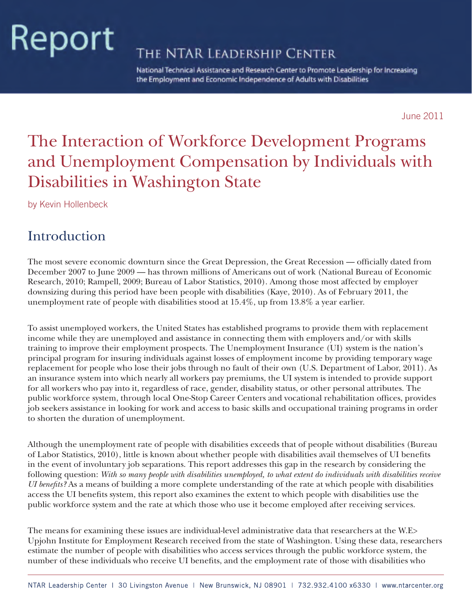# Report

THE NTAR LEADERSHIP CENTER

National Technical Assistance and Research Center to Promote Leadership for Increasing the Employment and Economic Independence of Adults with Disabilities

June 2011

# The Interaction of Workforce Development Programs and Unemployment Compensation by Individuals with Disabilities in Washington State

by Kevin Hollenbeck

## Introduction

The most severe economic downturn since the Great Depression, the Great Recession — officially dated from December 2007 to June 2009 — has thrown millions of Americans out of work (National Bureau of Economic Research, 2010; Rampell, 2009; Bureau of Labor Statistics, 2010). Among those most affected by employer downsizing during this period have been people with disabilities (Kaye, 2010). As of February 2011, the unemployment rate of people with disabilities stood at 15.4%, up from 13.8% a year earlier.

To assist unemployed workers, the United States has established programs to provide them with replacement income while they are unemployed and assistance in connecting them with employers and/or with skills training to improve their employment prospects. The Unemployment Insurance (UI) system is the nation's principal program for insuring individuals against losses of employment income by providing temporary wage replacement for people who lose their jobs through no fault of their own (U.S. Department of Labor, 2011). As an insurance system into which nearly all workers pay premiums, the UI system is intended to provide support for all workers who pay into it, regardless of race, gender, disability status, or other personal attributes. The public workforce system, through local One-Stop Career Centers and vocational rehabilitation offices, provides job seekers assistance in looking for work and access to basic skills and occupational training programs in order to shorten the duration of unemployment.

Although the unemployment rate of people with disabilities exceeds that of people without disabilities (Bureau of Labor Statistics, 2010), little is known about whether people with disabilities avail themselves of UI benefits in the event of involuntary job separations. This report addresses this gap in the research by considering the following question: *With so many people with disabilities unemployed, to what extent do individuals with disabilities receive UI benefits?* As a means of building a more complete understanding of the rate at which people with disabilities access the UI benefits system, this report also examines the extent to which people with disabilities use the public workforce system and the rate at which those who use it become employed after receiving services.

The means for examining these issues are individual-level administrative data that researchers at the W.E> Upjohn Institute for Employment Research received from the state of Washington. Using these data, researchers estimate the number of people with disabilities who access services through the public workforce system, the number of these individuals who receive UI benefits, and the employment rate of those with disabilities who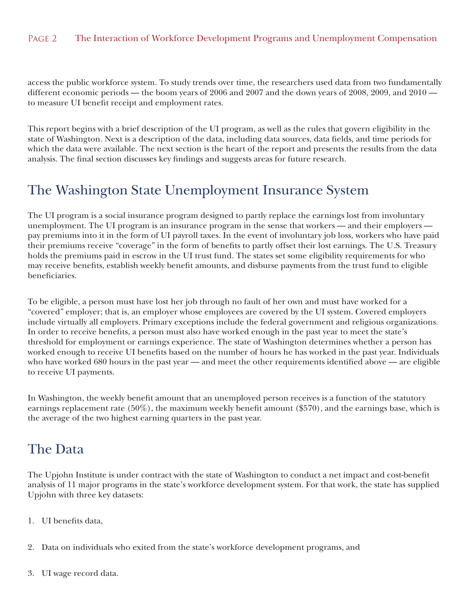access the public workforce system. To study trends over time, the researchers used data from two fundamentally different economic periods — the boom years of 2006 and 2007 and the down years of 2008, 2009, and 2010 to measure UI benefit receipt and employment rates.

This report begins with a brief description of the UI program, as well as the rules that govern eligibility in the state of Washington. Next is a description of the data, including data sources, data fields, and time periods for which the data were available. The next section is the heart of the report and presents the results from the data analysis. The final section discusses key findings and suggests areas for future research.

# The Washington State Unemployment Insurance System

The UI program is a social insurance program designed to partly replace the earnings lost from involuntary unemployment. The UI program is an insurance program in the sense that workers — and their employers pay premiums into it in the form of UI payroll taxes. In the event of involuntary job loss, workers who have paid their premiums receive "coverage" in the form of benefits to partly offset their lost earnings. The U.S. Treasury holds the premiums paid in escrow in the UI trust fund. The states set some eligibility requirements for who may receive benefits, establish weekly benefit amounts, and disburse payments from the trust fund to eligible beneficiaries.

To be eligible, a person must have lost her job through no fault of her own and must have worked for a "covered" employer; that is, an employer whose employees are covered by the UI system. Covered employers include virtually all employers. Primary exceptions include the federal government and religious organizations. In order to receive benefits, a person must also have worked enough in the past year to meet the state's threshold for employment or earnings experience. The state of Washington determines whether a person has worked enough to receive UI benefits based on the number of hours he has worked in the past year. Individuals who have worked 680 hours in the past year — and meet the other requirements identified above — are eligible to receive UI payments.

In Washington, the weekly benefit amount that an unemployed person receives is a function of the statutory earnings replacement rate (50%), the maximum weekly benefit amount (\$570), and the earnings base, which is the average of the two highest earning quarters in the past year.

# The Data

The Upjohn Institute is under contract with the state of Washington to conduct a net impact and cost-benefit analysis of 11 major programs in the state's workforce development system. For that work, the state has supplied Upjohn with three key datasets:

- 1. UI benefits data,
- 2. Data on individuals who exited from the state's workforce development programs, and
- 3. UI wage record data.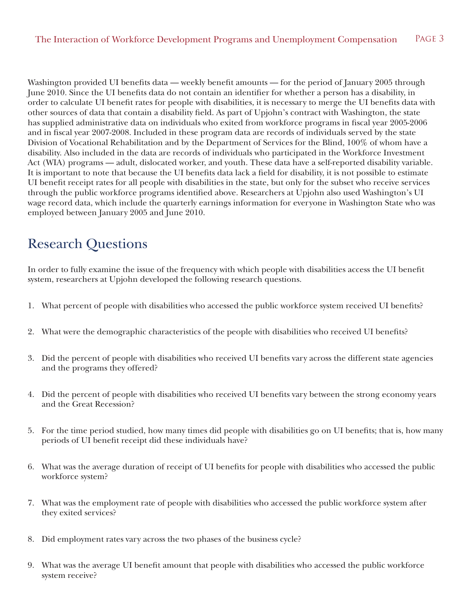Washington provided UI benefits data — weekly benefit amounts — for the period of January 2005 through June 2010. Since the UI benefits data do not contain an identifier for whether a person has a disability, in order to calculate UI benefit rates for people with disabilities, it is necessary to merge the UI benefits data with other sources of data that contain a disability field. As part of Upjohn's contract with Washington, the state has supplied administrative data on individuals who exited from workforce programs in fiscal year 2005-2006 and in fiscal year 2007-2008. Included in these program data are records of individuals served by the state Division of Vocational Rehabilitation and by the Department of Services for the Blind, 100% of whom have a disability. Also included in the data are records of individuals who participated in the Workforce Investment Act (WIA) programs — adult, dislocated worker, and youth. These data have a self-reported disability variable. It is important to note that because the UI benefits data lack a field for disability, it is not possible to estimate UI benefit receipt rates for all people with disabilities in the state, but only for the subset who receive services through the public workforce programs identified above. Researchers at Upjohn also used Washington's UI wage record data, which include the quarterly earnings information for everyone in Washington State who was employed between January 2005 and June 2010.

# Research Questions

In order to fully examine the issue of the frequency with which people with disabilities access the UI benefit system, researchers at Upjohn developed the following research questions.

- 1. What percent of people with disabilities who accessed the public workforce system received UI benefits?
- 2. What were the demographic characteristics of the people with disabilities who received UI benefits?
- 3. Did the percent of people with disabilities who received UI benefits vary across the different state agencies and the programs they offered?
- 4. Did the percent of people with disabilities who received UI benefits vary between the strong economy years and the Great Recession?
- 5. For the time period studied, how many times did people with disabilities go on UI benefits; that is, how many periods of UI benefit receipt did these individuals have?
- 6. What was the average duration of receipt of UI benefits for people with disabilities who accessed the public workforce system?
- 7. What was the employment rate of people with disabilities who accessed the public workforce system after they exited services?
- 8. Did employment rates vary across the two phases of the business cycle?
- 9. What was the average UI benefit amount that people with disabilities who accessed the public workforce system receive?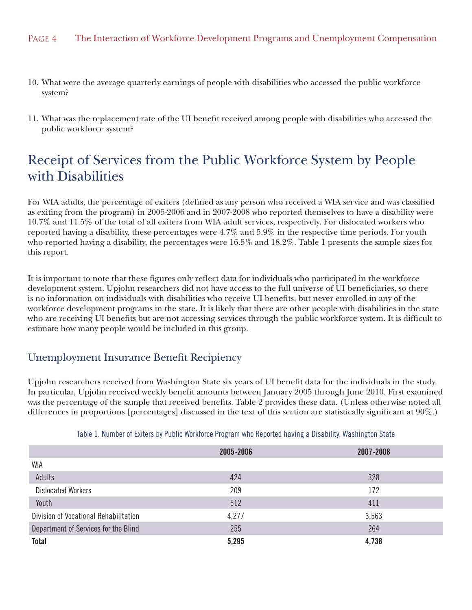- 10. What were the average quarterly earnings of people with disabilities who accessed the public workforce system?
- 11. What was the replacement rate of the UI benefit received among people with disabilities who accessed the public workforce system?

# Receipt of Services from the Public Workforce System by People with Disabilities

For WIA adults, the percentage of exiters (defined as any person who received a WIA service and was classified as exiting from the program) in 2005-2006 and in 2007-2008 who reported themselves to have a disability were 10.7% and 11.5% of the total of all exiters from WIA adult services, respectively. For dislocated workers who reported having a disability, these percentages were 4.7% and 5.9% in the respective time periods. For youth who reported having a disability, the percentages were 16.5% and 18.2%. Table 1 presents the sample sizes for this report.

It is important to note that these figures only reflect data for individuals who participated in the workforce development system. Upjohn researchers did not have access to the full universe of UI beneficiaries, so there is no information on individuals with disabilities who receive UI benefits, but never enrolled in any of the workforce development programs in the state. It is likely that there are other people with disabilities in the state who are receiving UI benefits but are not accessing services through the public workforce system. It is difficult to estimate how many people would be included in this group.

## Unemployment Insurance Benefit Recipiency

Upjohn researchers received from Washington State six years of UI benefit data for the individuals in the study. In particular, Upjohn received weekly benefit amounts between January 2005 through June 2010. First examined was the percentage of the sample that received benefits. Table 2 provides these data. (Unless otherwise noted all differences in proportions [percentages] discussed in the text of this section are statistically significant at 90%.)

|                                       | 2005-2006 | 2007-2008 |
|---------------------------------------|-----------|-----------|
| <b>WIA</b>                            |           |           |
| Adults                                | 424       | 328       |
| <b>Dislocated Workers</b>             | 209       | 172       |
| Youth                                 | 512       | 411       |
| Division of Vocational Rehabilitation | 4,277     | 3,563     |
| Department of Services for the Blind  | 255       | 264       |
| <b>Total</b>                          | 5,295     | 4,738     |

Table 1. Number of Exiters by Public Workforce Program who Reported having a Disability, Washington State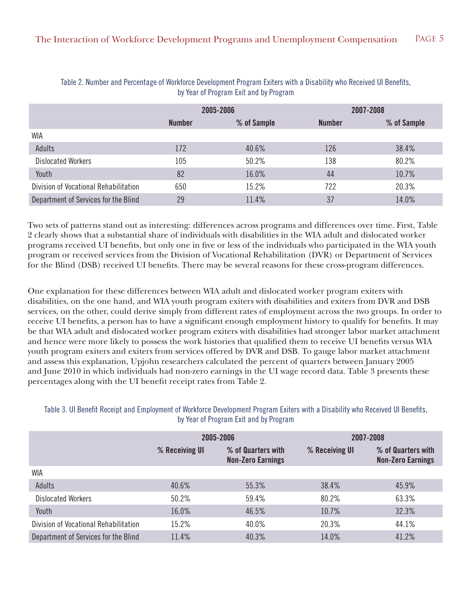|                                       |               | 2005-2006   | 2007-2008     |             |  |
|---------------------------------------|---------------|-------------|---------------|-------------|--|
|                                       | <b>Number</b> | % of Sample | <b>Number</b> | % of Sample |  |
| WIA                                   |               |             |               |             |  |
| Adults                                | 172           | 40.6%       | 126           | 38.4%       |  |
| <b>Dislocated Workers</b>             | 105           | 50.2%       | 138           | 80.2%       |  |
| Youth                                 | 82            | 16.0%       | 44            | 10.7%       |  |
| Division of Vocational Rehabilitation | 650           | 15.2%       | 722           | 20.3%       |  |
| Department of Services for the Blind  | 29            | 11.4%       | 37            | 14.0%       |  |

Table 2. Number and Percentage of Workforce Development Program Exiters with a Disability who Received UI Benefits, by Year of Program Exit and by Program

Two sets of patterns stand out as interesting: differences across programs and differences over time. First, Table 2 clearly shows that a substantial share of individuals with disabilities in the WIA adult and dislocated worker programs received UI benefits, but only one in five or less of the individuals who participated in the WIA youth program or received services from the Division of Vocational Rehabilitation (DVR) or Department of Services for the Blind (DSB) received UI benefits. There may be several reasons for these cross-program differences.

One explanation for these differences between WIA adult and dislocated worker program exiters with disabilities, on the one hand, and WIA youth program exiters with disabilities and exiters from DVR and DSB services, on the other, could derive simply from different rates of employment across the two groups. In order to receive UI benefits, a person has to have a significant enough employment history to qualify for benefits. It may be that WIA adult and dislocated worker program exiters with disabilities had stronger labor market attachment and hence were more likely to possess the work histories that qualified them to receive UI benefits versus WIA youth program exiters and exiters from services offered by DVR and DSB. To gauge labor market attachment and assess this explanation, Upjohn researchers calculated the percent of quarters between January 2005 and June 2010 in which individuals had non-zero earnings in the UI wage record data. Table 3 presents these percentages along with the UI benefit receipt rates from Table 2.

#### Table 3. UI Benefit Receipt and Employment of Workforce Development Program Exiters with a Disability who Received UI Benefits, by Year of Program Exit and by Program

|                                       |                | 2005-2006                                      |                | 2007-2008                                      |
|---------------------------------------|----------------|------------------------------------------------|----------------|------------------------------------------------|
|                                       | % Receiving UI | % of Quarters with<br><b>Non-Zero Earnings</b> | % Receiving UI | % of Quarters with<br><b>Non-Zero Earnings</b> |
| WIA                                   |                |                                                |                |                                                |
| Adults                                | 40.6%          | 55.3%                                          | 38.4%          | 45.9%                                          |
| <b>Dislocated Workers</b>             | 50.2%          | 59.4%                                          | 80.2%          | 63.3%                                          |
| Youth                                 | 16.0%          | 46.5%                                          | 10.7%          | 32.3%                                          |
| Division of Vocational Rehabilitation | 15.2%          | 40.0%                                          | 20.3%          | 44.1%                                          |
| Department of Services for the Blind  | 11.4%          | 40.3%                                          | 14.0%          | 41.2%                                          |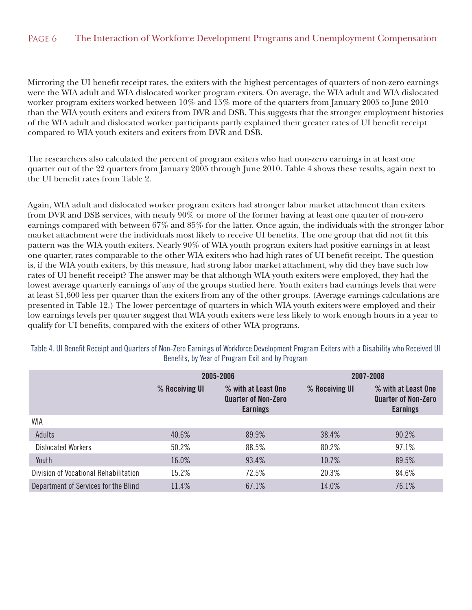Mirroring the UI benefit receipt rates, the exiters with the highest percentages of quarters of non-zero earnings were the WIA adult and WIA dislocated worker program exiters. On average, the WIA adult and WIA dislocated worker program exiters worked between 10% and 15% more of the quarters from January 2005 to June 2010 than the WIA youth exiters and exiters from DVR and DSB. This suggests that the stronger employment histories of the WIA adult and dislocated worker participants partly explained their greater rates of UI benefit receipt compared to WIA youth exiters and exiters from DVR and DSB.

The researchers also calculated the percent of program exiters who had non-zero earnings in at least one quarter out of the 22 quarters from January 2005 through June 2010. Table 4 shows these results, again next to the UI benefit rates from Table 2.

Again, WIA adult and dislocated worker program exiters had stronger labor market attachment than exiters from DVR and DSB services, with nearly 90% or more of the former having at least one quarter of non-zero earnings compared with between 67% and 85% for the latter. Once again, the individuals with the stronger labor market attachment were the individuals most likely to receive UI benefits. The one group that did not fit this pattern was the WIA youth exiters. Nearly 90% of WIA youth program exiters had positive earnings in at least one quarter, rates comparable to the other WIA exiters who had high rates of UI benefit receipt. The question is, if the WIA youth exiters, by this measure, had strong labor market attachment, why did they have such low rates of UI benefit receipt? The answer may be that although WIA youth exiters were employed, they had the lowest average quarterly earnings of any of the groups studied here. Youth exiters had earnings levels that were at least \$1,600 less per quarter than the exiters from any of the other groups. (Average earnings calculations are presented in Table 12.) The lower percentage of quarters in which WIA youth exiters were employed and their low earnings levels per quarter suggest that WIA youth exiters were less likely to work enough hours in a year to qualify for UI benefits, compared with the exiters of other WIA programs.

|                                       |                | 2005-2006                                                            | 2007-2008      |                                                                      |  |
|---------------------------------------|----------------|----------------------------------------------------------------------|----------------|----------------------------------------------------------------------|--|
|                                       | % Receiving UI | % with at Least One<br><b>Quarter of Non-Zero</b><br><b>Earnings</b> | % Receiving UI | % with at Least One<br><b>Quarter of Non-Zero</b><br><b>Earnings</b> |  |
| WIA                                   |                |                                                                      |                |                                                                      |  |
| Adults                                | 40.6%          | 89.9%                                                                | 38.4%          | 90.2%                                                                |  |
| <b>Dislocated Workers</b>             | 50.2%          | 88.5%                                                                | 80.2%          | 97.1%                                                                |  |
| Youth                                 | 16.0%          | 93.4%                                                                | 10.7%          | 89.5%                                                                |  |
| Division of Vocational Rehabilitation | 15.2%          | 72.5%                                                                | 20.3%          | 84.6%                                                                |  |
| Department of Services for the Blind  | 11.4%          | 67.1%                                                                | 14.0%          | 76.1%                                                                |  |

Table 4. UI Benefit Receipt and Quarters of Non-Zero Earnings of Workforce Development Program Exiters with a Disability who Received UI Benefits, by Year of Program Exit and by Program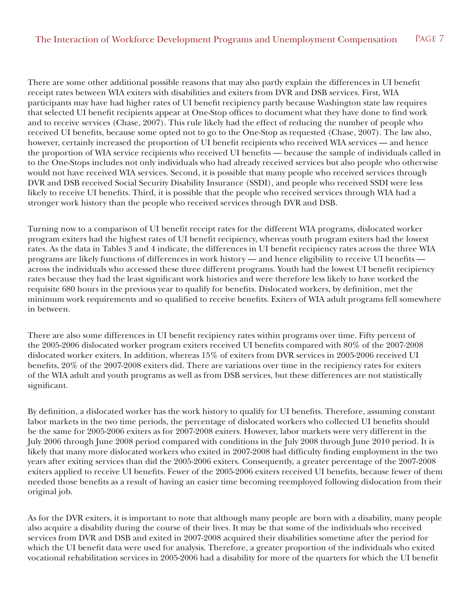There are some other additional possible reasons that may also partly explain the differences in UI benefit receipt rates between WIA exiters with disabilities and exiters from DVR and DSB services. First, WIA participants may have had higher rates of UI benefit recipiency partly because Washington state law requires that selected UI benefit recipients appear at One-Stop offices to document what they have done to find work and to receive services (Chase, 2007). This rule likely had the effect of reducing the number of people who received UI benefits, because some opted not to go to the One-Stop as requested (Chase, 2007). The law also, however, certainly increased the proportion of UI benefit recipients who received WIA services — and hence the proportion of WIA service recipients who received UI benefits — because the sample of individuals called in to the One-Stops includes not only individuals who had already received services but also people who otherwise would not have received WIA services. Second, it is possible that many people who received services through DVR and DSB received Social Security Disability Insurance (SSDI), and people who received SSDI were less likely to receive UI benefits. Third, it is possible that the people who received services through WIA had a stronger work history than the people who received services through DVR and DSB.

Turning now to a comparison of UI benefit receipt rates for the different WIA programs, dislocated worker program exiters had the highest rates of UI benefit recipiency, whereas youth program exiters had the lowest rates. As the data in Tables 3 and 4 indicate, the differences in UI benefit recipiency rates across the three WIA programs are likely functions of differences in work history — and hence eligibility to receive UI benefits across the individuals who accessed these three different programs. Youth had the lowest UI benefit recipiency rates because they had the least significant work histories and were therefore less likely to have worked the requisite 680 hours in the previous year to qualify for benefits. Dislocated workers, by definition, met the minimum work requirements and so qualified to receive benefits. Exiters of WIA adult programs fell somewhere in between.

There are also some differences in UI benefit recipiency rates within programs over time. Fifty percent of the 2005-2006 dislocated worker program exiters received UI benefits compared with 80% of the 2007-2008 dislocated worker exiters. In addition, whereas 15% of exiters from DVR services in 2005-2006 received UI benefits, 20% of the 2007-2008 exiters did. There are variations over time in the recipiency rates for exiters of the WIA adult and youth programs as well as from DSB services, but these differences are not statistically significant.

By definition, a dislocated worker has the work history to qualify for UI benefits. Therefore, assuming constant labor markets in the two time periods, the percentage of dislocated workers who collected UI benefits should be the same for 2005-2006 exiters as for 2007-2008 exiters. However, labor markets were very different in the July 2006 through June 2008 period compared with conditions in the July 2008 through June 2010 period. It is likely that many more dislocated workers who exited in 2007-2008 had difficulty finding employment in the two years after exiting services than did the 2005-2006 exiters. Consequently, a greater percentage of the 2007-2008 exiters applied to receive UI benefits. Fewer of the 2005-2006 exiters received UI benefits, because fewer of them needed those benefits as a result of having an easier time becoming reemployed following dislocation from their original job.

As for the DVR exiters, it is important to note that although many people are born with a disability, many people also acquire a disability during the course of their lives. It may be that some of the individuals who received services from DVR and DSB and exited in 2007-2008 acquired their disabilities sometime after the period for which the UI benefit data were used for analysis. Therefore, a greater proportion of the individuals who exited vocational rehabilitation services in 2005-2006 had a disability for more of the quarters for which the UI benefit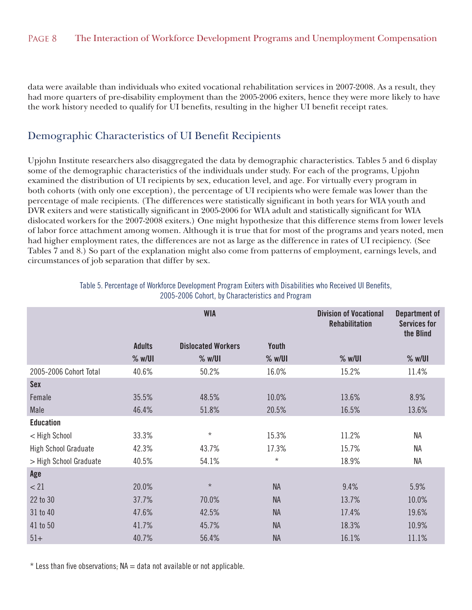data were available than individuals who exited vocational rehabilitation services in 2007-2008. As a result, they had more quarters of pre-disability employment than the 2005-2006 exiters, hence they were more likely to have the work history needed to qualify for UI benefits, resulting in the higher UI benefit receipt rates.

#### Demographic Characteristics of UI Benefit Recipients

Upjohn Institute researchers also disaggregated the data by demographic characteristics. Tables 5 and 6 display some of the demographic characteristics of the individuals under study. For each of the programs, Upjohn examined the distribution of UI recipients by sex, education level, and age. For virtually every program in both cohorts (with only one exception), the percentage of UI recipients who were female was lower than the percentage of male recipients. (The differences were statistically significant in both years for WIA youth and DVR exiters and were statistically significant in 2005-2006 for WIA adult and statistically significant for WIA dislocated workers for the 2007-2008 exiters.) One might hypothesize that this difference stems from lower levels of labor force attachment among women. Although it is true that for most of the programs and years noted, men had higher employment rates, the differences are not as large as the difference in rates of UI recipiency. (See Tables 7 and 8.) So part of the explanation might also come from patterns of employment, earnings levels, and circumstances of job separation that differ by sex.

|                             | <b>WIA</b>    |                           |              | <b>Division of Vocational</b><br><b>Rehabilitation</b> | <b>Department of</b><br><b>Services for</b><br>the Blind |
|-----------------------------|---------------|---------------------------|--------------|--------------------------------------------------------|----------------------------------------------------------|
|                             | <b>Adults</b> | <b>Dislocated Workers</b> | <b>Youth</b> |                                                        |                                                          |
|                             | % w/UI        | $%$ w/UI                  | % w/UI       | % w/UI                                                 | % w/UI                                                   |
| 2005-2006 Cohort Total      | 40.6%         | 50.2%                     | 16.0%        | 15.2%                                                  | 11.4%                                                    |
| <b>Sex</b>                  |               |                           |              |                                                        |                                                          |
| Female                      | 35.5%         | 48.5%                     | 10.0%        | 13.6%                                                  | 8.9%                                                     |
| Male                        | 46.4%         | 51.8%                     | 20.5%        | 16.5%                                                  | 13.6%                                                    |
| <b>Education</b>            |               |                           |              |                                                        |                                                          |
| < High School               | 33.3%         | $\star$                   | 15.3%        | 11.2%                                                  | ΝA                                                       |
| <b>High School Graduate</b> | 42.3%         | 43.7%                     | 17.3%        | 15.7%                                                  | <b>NA</b>                                                |
| > High School Graduate      | 40.5%         | 54.1%                     | $\star$      | 18.9%                                                  | <b>NA</b>                                                |
| Age                         |               |                           |              |                                                        |                                                          |
| < 21                        | 20.0%         | $\star$                   | <b>NA</b>    | 9.4%                                                   | 5.9%                                                     |
| 22 to 30                    | 37.7%         | 70.0%                     | <b>NA</b>    | 13.7%                                                  | 10.0%                                                    |
| 31 to 40                    | 47.6%         | 42.5%                     | <b>NA</b>    | 17.4%                                                  | 19.6%                                                    |
| 41 to 50                    | 41.7%         | 45.7%                     | <b>NA</b>    | 18.3%                                                  | 10.9%                                                    |
| $51+$                       | 40.7%         | 56.4%                     | <b>NA</b>    | 16.1%                                                  | 11.1%                                                    |

Table 5. Percentage of Workforce Development Program Exiters with Disabilities who Received UI Benefits, 2005-2006 Cohort, by Characteristics and Program

 $*$  Less than five observations;  $NA = data$  not available or not applicable.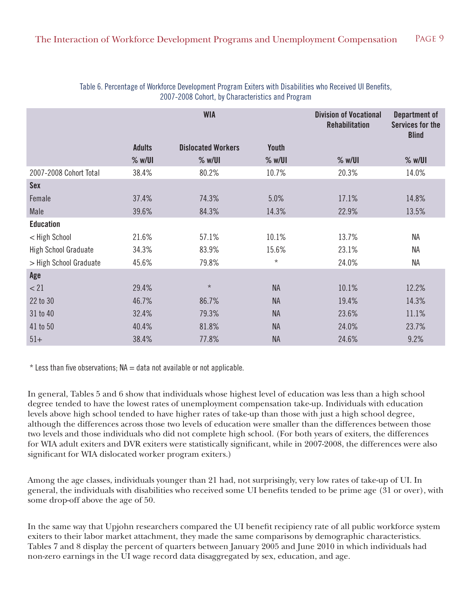|                             |               | <b>WIA</b>                |              | <b>Division of Vocational</b><br><b>Rehabilitation</b> | <b>Department of</b><br><b>Services for the</b><br><b>Blind</b> |
|-----------------------------|---------------|---------------------------|--------------|--------------------------------------------------------|-----------------------------------------------------------------|
|                             | <b>Adults</b> | <b>Dislocated Workers</b> | <b>Youth</b> |                                                        |                                                                 |
|                             | % w/UI        | % w/UI                    | % w/UI       | % w/UI                                                 | % w/UI                                                          |
| 2007-2008 Cohort Total      | 38.4%         | 80.2%                     | 10.7%        | 20.3%                                                  | 14.0%                                                           |
| <b>Sex</b>                  |               |                           |              |                                                        |                                                                 |
| Female                      | 37.4%         | 74.3%                     | 5.0%         | 17.1%                                                  | 14.8%                                                           |
| Male                        | 39.6%         | 84.3%                     | 14.3%        | 22.9%                                                  | 13.5%                                                           |
| <b>Education</b>            |               |                           |              |                                                        |                                                                 |
| < High School               | 21.6%         | 57.1%                     | 10.1%        | 13.7%                                                  | <b>NA</b>                                                       |
| <b>High School Graduate</b> | 34.3%         | 83.9%                     | 15.6%        | 23.1%                                                  | <b>NA</b>                                                       |
| > High School Graduate      | 45.6%         | 79.8%                     | $\star$      | 24.0%                                                  | <b>NA</b>                                                       |
| Age                         |               |                           |              |                                                        |                                                                 |
| < 21                        | 29.4%         | $\star$                   | <b>NA</b>    | 10.1%                                                  | 12.2%                                                           |
| 22 to 30                    | 46.7%         | 86.7%                     | <b>NA</b>    | 19.4%                                                  | 14.3%                                                           |
| 31 to 40                    | 32.4%         | 79.3%                     | <b>NA</b>    | 23.6%                                                  | 11.1%                                                           |
| 41 to 50                    | 40.4%         | 81.8%                     | <b>NA</b>    | 24.0%                                                  | 23.7%                                                           |
| $51+$                       | 38.4%         | 77.8%                     | <b>NA</b>    | 24.6%                                                  | 9.2%                                                            |

#### Table 6. Percentage of Workforce Development Program Exiters with Disabilities who Received UI Benefits, 2007-2008 Cohort, by Characteristics and Program

 $*$  Less than five observations;  $NA = data$  not available or not applicable.

In general, Tables 5 and 6 show that individuals whose highest level of education was less than a high school degree tended to have the lowest rates of unemployment compensation take-up. Individuals with education levels above high school tended to have higher rates of take-up than those with just a high school degree, although the differences across those two levels of education were smaller than the differences between those two levels and those individuals who did not complete high school. (For both years of exiters, the differences for WIA adult exiters and DVR exiters were statistically significant, while in 2007-2008, the differences were also significant for WIA dislocated worker program exiters.)

Among the age classes, individuals younger than 21 had, not surprisingly, very low rates of take-up of UI. In general, the individuals with disabilities who received some UI benefits tended to be prime age (31 or over), with some drop-off above the age of 50.

In the same way that Upjohn researchers compared the UI benefit recipiency rate of all public workforce system exiters to their labor market attachment, they made the same comparisons by demographic characteristics. Tables 7 and 8 display the percent of quarters between January 2005 and June 2010 in which individuals had non-zero earnings in the UI wage record data disaggregated by sex, education, and age.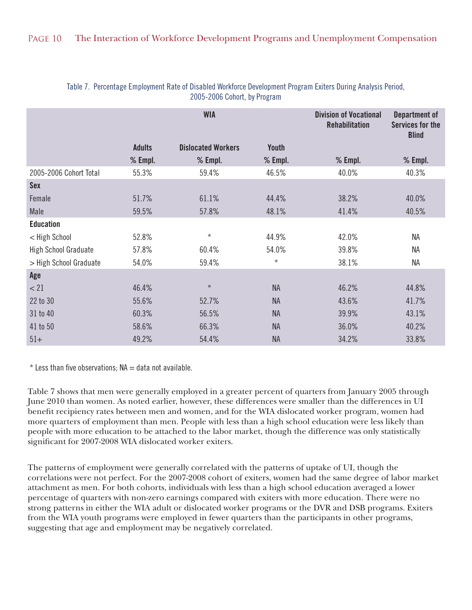|                             |               | <b>WIA</b>                |              | <b>Division of Vocational</b><br><b>Rehabilitation</b> | Department of<br><b>Services for the</b><br><b>Blind</b> |
|-----------------------------|---------------|---------------------------|--------------|--------------------------------------------------------|----------------------------------------------------------|
|                             | <b>Adults</b> | <b>Dislocated Workers</b> | <b>Youth</b> |                                                        |                                                          |
|                             | $%$ Empl.     | $%$ Empl.                 | $%$ Empl.    | $%$ Empl.                                              | $%$ Empl.                                                |
| 2005-2006 Cohort Total      | 55.3%         | 59.4%                     | 46.5%        | 40.0%                                                  | 40.3%                                                    |
| <b>Sex</b>                  |               |                           |              |                                                        |                                                          |
| Female                      | 51.7%         | 61.1%                     | 44.4%        | 38.2%                                                  | 40.0%                                                    |
| Male                        | 59.5%         | 57.8%                     | 48.1%        | 41.4%                                                  | 40.5%                                                    |
| <b>Education</b>            |               |                           |              |                                                        |                                                          |
| < High School               | 52.8%         | $\star$                   | 44.9%        | 42.0%                                                  | NA                                                       |
| <b>High School Graduate</b> | 57.8%         | 60.4%                     | 54.0%        | 39.8%                                                  | NA                                                       |
| > High School Graduate      | 54.0%         | 59.4%                     | $^\star$     | 38.1%                                                  | NA                                                       |
| Age                         |               |                           |              |                                                        |                                                          |
| < 21                        | 46.4%         | $\star$                   | <b>NA</b>    | 46.2%                                                  | 44.8%                                                    |
| 22 to 30                    | 55.6%         | 52.7%                     | <b>NA</b>    | 43.6%                                                  | 41.7%                                                    |
| 31 to 40                    | 60.3%         | 56.5%                     | <b>NA</b>    | 39.9%                                                  | 43.1%                                                    |
| 41 to 50                    | 58.6%         | 66.3%                     | <b>NA</b>    | 36.0%                                                  | 40.2%                                                    |
| $51+$                       | 49.2%         | 54.4%                     | <b>NA</b>    | 34.2%                                                  | 33.8%                                                    |

#### Table 7. Percentage Employment Rate of Disabled Workforce Development Program Exiters During Analysis Period, 2005-2006 Cohort, by Program

 $*$  Less than five observations;  $NA = data$  not available.

Table 7 shows that men were generally employed in a greater percent of quarters from January 2005 through June 2010 than women. As noted earlier, however, these differences were smaller than the differences in UI benefit recipiency rates between men and women, and for the WIA dislocated worker program, women had more quarters of employment than men. People with less than a high school education were less likely than people with more education to be attached to the labor market, though the difference was only statistically significant for 2007-2008 WIA dislocated worker exiters.

The patterns of employment were generally correlated with the patterns of uptake of UI, though the correlations were not perfect. For the 2007-2008 cohort of exiters, women had the same degree of labor market attachment as men. For both cohorts, individuals with less than a high school education averaged a lower percentage of quarters with non-zero earnings compared with exiters with more education. There were no strong patterns in either the WIA adult or dislocated worker programs or the DVR and DSB programs. Exiters from the WIA youth programs were employed in fewer quarters than the participants in other programs, suggesting that age and employment may be negatively correlated.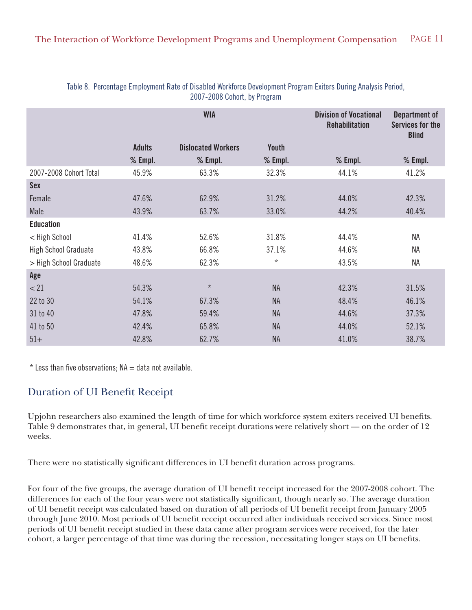|                             | <b>WIA</b>    |                           |              | <b>Division of Vocational</b><br><b>Rehabilitation</b> | Department of<br><b>Services for the</b><br><b>Blind</b> |
|-----------------------------|---------------|---------------------------|--------------|--------------------------------------------------------|----------------------------------------------------------|
|                             | <b>Adults</b> | <b>Dislocated Workers</b> | <b>Youth</b> |                                                        |                                                          |
|                             | $%$ Empl.     | $%$ Empl.                 | $%$ Empl.    | $%$ Empl.                                              | $%$ Empl.                                                |
| 2007-2008 Cohort Total      | 45.9%         | 63.3%                     | 32.3%        | 44.1%                                                  | 41.2%                                                    |
| <b>Sex</b>                  |               |                           |              |                                                        |                                                          |
| Female                      | 47.6%         | 62.9%                     | 31.2%        | 44.0%                                                  | 42.3%                                                    |
| Male                        | 43.9%         | 63.7%                     | 33.0%        | 44.2%                                                  | 40.4%                                                    |
| <b>Education</b>            |               |                           |              |                                                        |                                                          |
| < High School               | 41.4%         | 52.6%                     | 31.8%        | 44.4%                                                  | <b>NA</b>                                                |
| <b>High School Graduate</b> | 43.8%         | 66.8%                     | 37.1%        | 44.6%                                                  | <b>NA</b>                                                |
| > High School Graduate      | 48.6%         | 62.3%                     | $\star$      | 43.5%                                                  | <b>NA</b>                                                |
| Age                         |               |                           |              |                                                        |                                                          |
| < 21                        | 54.3%         | $\star$                   | <b>NA</b>    | 42.3%                                                  | 31.5%                                                    |
| 22 to 30                    | 54.1%         | 67.3%                     | <b>NA</b>    | 48.4%                                                  | 46.1%                                                    |
| 31 to 40                    | 47.8%         | 59.4%                     | <b>NA</b>    | 44.6%                                                  | 37.3%                                                    |
| 41 to 50                    | 42.4%         | 65.8%                     | <b>NA</b>    | 44.0%                                                  | 52.1%                                                    |
| $51+$                       | 42.8%         | 62.7%                     | <b>NA</b>    | 41.0%                                                  | 38.7%                                                    |

#### Table 8. Percentage Employment Rate of Disabled Workforce Development Program Exiters During Analysis Period, 2007-2008 Cohort, by Program

 $*$  Less than five observations;  $NA = data$  not available.

## Duration of UI Benefit Receipt

Upjohn researchers also examined the length of time for which workforce system exiters received UI benefits. Table 9 demonstrates that, in general, UI benefit receipt durations were relatively short — on the order of 12 weeks.

There were no statistically significant differences in UI benefit duration across programs.

For four of the five groups, the average duration of UI benefit receipt increased for the 2007-2008 cohort. The differences for each of the four years were not statistically significant, though nearly so. The average duration of UI benefit receipt was calculated based on duration of all periods of UI benefit receipt from January 2005 through June 2010. Most periods of UI benefit receipt occurred after individuals received services. Since most periods of UI benefit receipt studied in these data came after program services were received, for the later cohort, a larger percentage of that time was during the recession, necessitating longer stays on UI benefits.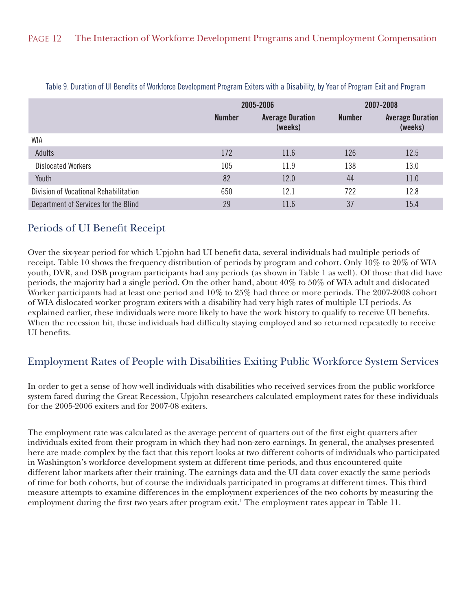|                                       |               | 2005-2006                          |               | 2007-2008                          |
|---------------------------------------|---------------|------------------------------------|---------------|------------------------------------|
|                                       | <b>Number</b> | <b>Average Duration</b><br>(weeks) | <b>Number</b> | <b>Average Duration</b><br>(weeks) |
| <b>WIA</b>                            |               |                                    |               |                                    |
| Adults                                | 172           | 11.6                               | 126           | 12.5                               |
| <b>Dislocated Workers</b>             | 105           | 11.9                               | 138           | 13.0                               |
| Youth                                 | 82            | 12.0                               | 44            | 11.0                               |
| Division of Vocational Rehabilitation | 650           | 12.1                               | 722           | 12.8                               |
| Department of Services for the Blind  | 29            | 11.6                               | 37            | 15.4                               |

Table 9. Duration of UI Benefits of Workforce Development Program Exiters with a Disability, by Year of Program Exit and Program

## Periods of UI Benefit Receipt

Over the six-year period for which Upjohn had UI benefit data, several individuals had multiple periods of receipt. Table 10 shows the frequency distribution of periods by program and cohort. Only 10% to 20% of WIA youth, DVR, and DSB program participants had any periods (as shown in Table 1 as well). Of those that did have periods, the majority had a single period. On the other hand, about 40% to 50% of WIA adult and dislocated Worker participants had at least one period and 10% to 25% had three or more periods. The 2007-2008 cohort of WIA dislocated worker program exiters with a disability had very high rates of multiple UI periods. As explained earlier, these individuals were more likely to have the work history to qualify to receive UI benefits. When the recession hit, these individuals had difficulty staying employed and so returned repeatedly to receive UI benefits.

## Employment Rates of People with Disabilities Exiting Public Workforce System Services

In order to get a sense of how well individuals with disabilities who received services from the public workforce system fared during the Great Recession, Upjohn researchers calculated employment rates for these individuals for the 2005-2006 exiters and for 2007-08 exiters.

The employment rate was calculated as the average percent of quarters out of the first eight quarters after individuals exited from their program in which they had non-zero earnings. In general, the analyses presented here are made complex by the fact that this report looks at two different cohorts of individuals who participated in Washington's workforce development system at different time periods, and thus encountered quite different labor markets after their training. The earnings data and the UI data cover exactly the same periods of time for both cohorts, but of course the individuals participated in programs at different times. This third measure attempts to examine differences in the employment experiences of the two cohorts by measuring the employment during the first two years after program exit.<sup>1</sup> The employment rates appear in Table 11.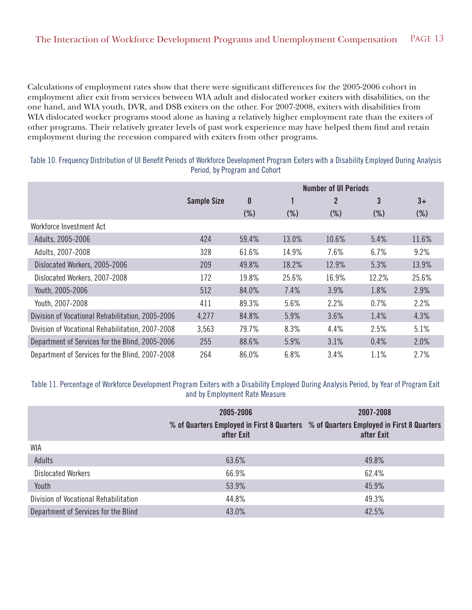Calculations of employment rates show that there were significant differences for the 2005-2006 cohort in employment after exit from services between WIA adult and dislocated worker exiters with disabilities, on the one hand, and WIA youth, DVR, and DSB exiters on the other. For 2007-2008, exiters with disabilities from WIA dislocated worker programs stood alone as having a relatively higher employment rate than the exiters of other programs. Their relatively greater levels of past work experience may have helped them find and retain employment during the recession compared with exiters from other programs.

Table 10. Frequency Distribution of UI Benefit Periods of Workforce Development Program Exiters with a Disability Employed During Analysis Period, by Program and Cohort

|                                                  |                    | <b>Number of UI Periods</b> |        |        |        |        |
|--------------------------------------------------|--------------------|-----------------------------|--------|--------|--------|--------|
|                                                  | <b>Sample Size</b> | 0                           |        | 2      | 3      | $3+$   |
|                                                  |                    | $(\%)$                      | $(\%)$ | $(\%)$ | $(\%)$ | $(\%)$ |
| Workforce Investment Act                         |                    |                             |        |        |        |        |
| Adults, 2005-2006                                | 424                | 59.4%                       | 13.0%  | 10.6%  | 5.4%   | 11.6%  |
| Adults, 2007-2008                                | 328                | 61.6%                       | 14.9%  | 7.6%   | 6.7%   | 9.2%   |
| Dislocated Workers, 2005-2006                    | 209                | 49.8%                       | 18.2%  | 12.9%  | 5.3%   | 13.9%  |
| Dislocated Workers, 2007-2008                    | 172                | 19.8%                       | 25.6%  | 16.9%  | 12.2%  | 25.6%  |
| Youth, 2005-2006                                 | 512                | 84.0%                       | 7.4%   | 3.9%   | 1.8%   | 2.9%   |
| Youth, 2007-2008                                 | 411                | 89.3%                       | 5.6%   | 2.2%   | 0.7%   | 2.2%   |
| Division of Vocational Rehabilitation, 2005-2006 | 4,277              | 84.8%                       | 5.9%   | 3.6%   | 1.4%   | 4.3%   |
| Division of Vocational Rehabilitation, 2007-2008 | 3,563              | 79.7%                       | 8.3%   | 4.4%   | 2.5%   | 5.1%   |
| Department of Services for the Blind, 2005-2006  | 255                | 88.6%                       | 5.9%   | 3.1%   | 0.4%   | 2.0%   |
| Department of Services for the Blind, 2007-2008  | 264                | 86.0%                       | 6.8%   | 3.4%   | 1.1%   | 2.7%   |

#### Table 11. Percentage of Workforce Development Program Exiters with a Disability Employed During Analysis Period, by Year of Program Exit and by Employment Rate Measure

|                                       | 2005-2006<br>after Exit | 2007-2008<br>% of Quarters Employed in First 8 Quarters % of Quarters Employed in First 8 Quarters<br>after Exit |
|---------------------------------------|-------------------------|------------------------------------------------------------------------------------------------------------------|
| <b>WIA</b>                            |                         |                                                                                                                  |
| Adults                                | 63.6%                   | 49.8%                                                                                                            |
| Dislocated Workers                    | 66.9%                   | 62.4%                                                                                                            |
| Youth                                 | 53.9%                   | 45.9%                                                                                                            |
| Division of Vocational Rehabilitation | 44.8%                   | 49.3%                                                                                                            |
| Department of Services for the Blind  | 43.0%                   | 42.5%                                                                                                            |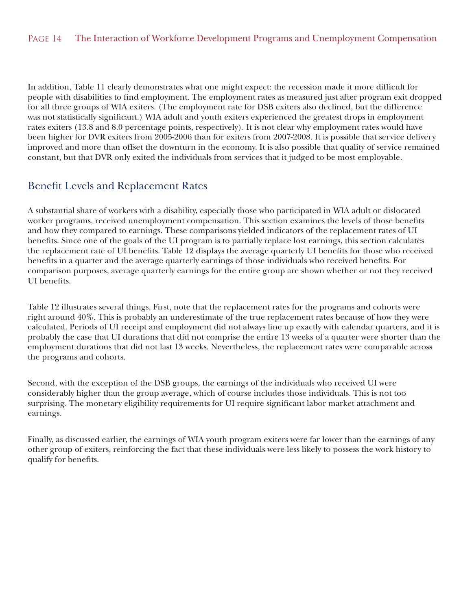In addition, Table 11 clearly demonstrates what one might expect: the recession made it more difficult for people with disabilities to find employment. The employment rates as measured just after program exit dropped for all three groups of WIA exiters. (The employment rate for DSB exiters also declined, but the difference was not statistically significant.) WIA adult and youth exiters experienced the greatest drops in employment rates exiters (13.8 and 8.0 percentage points, respectively). It is not clear why employment rates would have been higher for DVR exiters from 2005-2006 than for exiters from 2007-2008. It is possible that service delivery improved and more than offset the downturn in the economy. It is also possible that quality of service remained constant, but that DVR only exited the individuals from services that it judged to be most employable.

## Benefit Levels and Replacement Rates

A substantial share of workers with a disability, especially those who participated in WIA adult or dislocated worker programs, received unemployment compensation. This section examines the levels of those benefits and how they compared to earnings. These comparisons yielded indicators of the replacement rates of UI benefits. Since one of the goals of the UI program is to partially replace lost earnings, this section calculates the replacement rate of UI benefits. Table 12 displays the average quarterly UI benefits for those who received benefits in a quarter and the average quarterly earnings of those individuals who received benefits. For comparison purposes, average quarterly earnings for the entire group are shown whether or not they received UI benefits.

Table 12 illustrates several things. First, note that the replacement rates for the programs and cohorts were right around 40%. This is probably an underestimate of the true replacement rates because of how they were calculated. Periods of UI receipt and employment did not always line up exactly with calendar quarters, and it is probably the case that UI durations that did not comprise the entire 13 weeks of a quarter were shorter than the employment durations that did not last 13 weeks. Nevertheless, the replacement rates were comparable across the programs and cohorts.

Second, with the exception of the DSB groups, the earnings of the individuals who received UI were considerably higher than the group average, which of course includes those individuals. This is not too surprising. The monetary eligibility requirements for UI require significant labor market attachment and earnings.

Finally, as discussed earlier, the earnings of WIA youth program exiters were far lower than the earnings of any other group of exiters, reinforcing the fact that these individuals were less likely to possess the work history to qualify for benefits.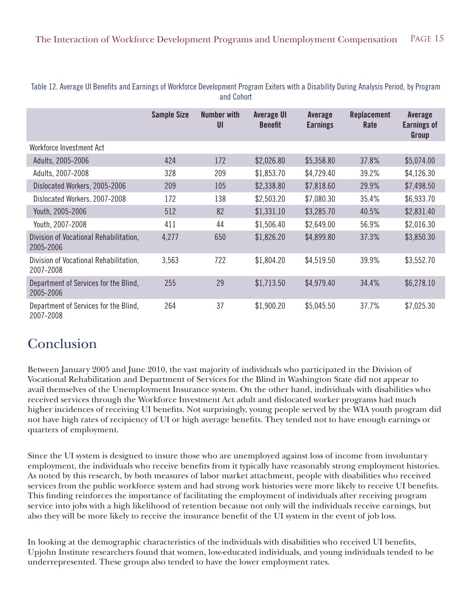|                                                     | <b>Sample Size</b> | <b>Number with</b><br>U <sub>l</sub> | <b>Average UI</b><br><b>Benefit</b> | Average<br><b>Earnings</b> | <b>Replacement</b><br>Rate | Average<br><b>Earnings of</b><br>Group |
|-----------------------------------------------------|--------------------|--------------------------------------|-------------------------------------|----------------------------|----------------------------|----------------------------------------|
| Workforce Investment Act                            |                    |                                      |                                     |                            |                            |                                        |
| Adults, 2005-2006                                   | 424                | 172                                  | \$2,026.80                          | \$5,358.80                 | 37.8%                      | \$5,074.00                             |
| Adults, 2007-2008                                   | 328                | 209                                  | \$1,853.70                          | \$4,729.40                 | 39.2%                      | \$4,126.30                             |
| Dislocated Workers, 2005-2006                       | 209                | 105                                  | \$2,338.80                          | \$7,818.60                 | 29.9%                      | \$7,498.50                             |
| Dislocated Workers, 2007-2008                       | 172                | 138                                  | \$2,503.20                          | \$7,080.30                 | 35.4%                      | \$6,933.70                             |
| Youth, 2005-2006                                    | 512                | 82                                   | \$1,331.10                          | \$3,285.70                 | 40.5%                      | \$2,831.40                             |
| Youth, 2007-2008                                    | 411                | 44                                   | \$1,506.40                          | \$2,649.00                 | 56.9%                      | \$2,016.30                             |
| Division of Vocational Rehabilitation,<br>2005-2006 | 4,277              | 650                                  | \$1,826.20                          | \$4,899.80                 | 37.3%                      | \$3,850.30                             |
| Division of Vocational Rehabilitation,<br>2007-2008 | 3,563              | 722                                  | \$1,804.20                          | \$4,519.50                 | 39.9%                      | \$3,552.70                             |
| Department of Services for the Blind,<br>2005-2006  | 255                | 29                                   | \$1,713.50                          | \$4,979.40                 | 34.4%                      | \$6,278.10                             |
| Department of Services for the Blind,<br>2007-2008  | 264                | 37                                   | \$1,900.20                          | \$5,045.50                 | 37.7%                      | \$7,025.30                             |

Table 12. Average UI Benefits and Earnings of Workforce Development Program Exiters with a Disability During Analysis Period, by Program and Cohort

# Conclusion

Between January 2005 and June 2010, the vast majority of individuals who participated in the Division of Vocational Rehabilitation and Department of Services for the Blind in Washington State did not appear to avail themselves of the Unemployment Insurance system. On the other hand, individuals with disabilities who received services through the Workforce Investment Act adult and dislocated worker programs had much higher incidences of receiving UI benefits. Not surprisingly, young people served by the WIA youth program did not have high rates of recipiency of UI or high average benefits. They tended not to have enough earnings or quarters of employment.

Since the UI system is designed to insure those who are unemployed against loss of income from involuntary employment, the individuals who receive benefits from it typically have reasonably strong employment histories. As noted by this research, by both measures of labor market attachment, people with disabilities who received services from the public workforce system and had strong work histories were more likely to receive UI benefits. This finding reinforces the importance of facilitating the employment of individuals after receiving program service into jobs with a high likelihood of retention because not only will the individuals receive earnings, but also they will be more likely to receive the insurance benefit of the UI system in the event of job loss.

In looking at the demographic characteristics of the individuals with disabilities who received UI benefits, Upjohn Institute researchers found that women, low-educated individuals, and young individuals tended to be underrepresented. These groups also tended to have the lower employment rates.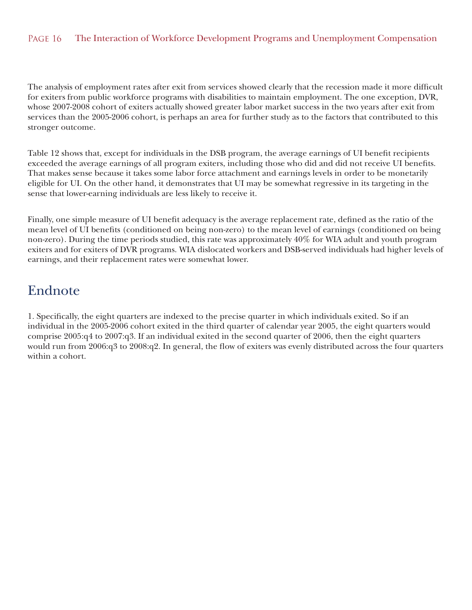#### PAGE 16 The Interaction of Workforce Development Programs and Unemployment Compensation

The analysis of employment rates after exit from services showed clearly that the recession made it more difficult for exiters from public workforce programs with disabilities to maintain employment. The one exception, DVR, whose 2007-2008 cohort of exiters actually showed greater labor market success in the two years after exit from services than the 2005-2006 cohort, is perhaps an area for further study as to the factors that contributed to this stronger outcome.

Table 12 shows that, except for individuals in the DSB program, the average earnings of UI benefit recipients exceeded the average earnings of all program exiters, including those who did and did not receive UI benefits. That makes sense because it takes some labor force attachment and earnings levels in order to be monetarily eligible for UI. On the other hand, it demonstrates that UI may be somewhat regressive in its targeting in the sense that lower-earning individuals are less likely to receive it.

Finally, one simple measure of UI benefit adequacy is the average replacement rate, defined as the ratio of the mean level of UI benefits (conditioned on being non-zero) to the mean level of earnings (conditioned on being non-zero). During the time periods studied, this rate was approximately 40% for WIA adult and youth program exiters and for exiters of DVR programs. WIA dislocated workers and DSB-served individuals had higher levels of earnings, and their replacement rates were somewhat lower.

## Endnote

1. Specifically, the eight quarters are indexed to the precise quarter in which individuals exited. So if an individual in the 2005-2006 cohort exited in the third quarter of calendar year 2005, the eight quarters would comprise 2005:q4 to 2007:q3. If an individual exited in the second quarter of 2006, then the eight quarters would run from 2006:q3 to 2008:q2. In general, the flow of exiters was evenly distributed across the four quarters within a cohort.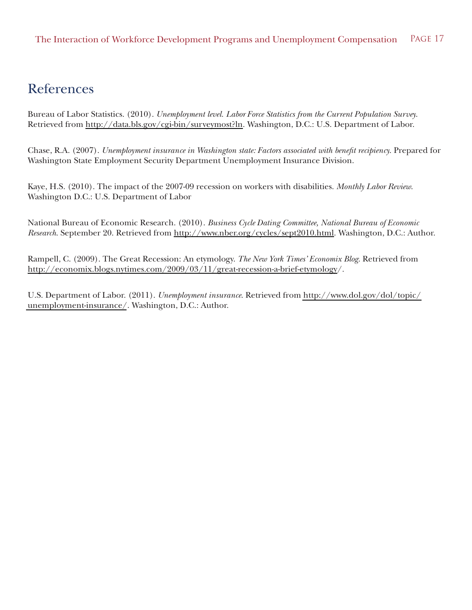## References

Bureau of Labor Statistics. (2010). *Unemployment level. Labor Force Statistics from the Current Population Survey*. Retrieved from http://data.bls.gov/cgi-bin/surveymost?ln. Washington, D.C.: U.S. Department of Labor.

Chase, R.A. (2007). *Unemployment insurance in Washington state: Factors associated with benefit recipiency*. Prepared for Washington State Employment Security Department Unemployment Insurance Division.

Kaye, H.S. (2010). The impact of the 2007-09 recession on workers with disabilities. *Monthly Labor Review*. Washington D.C.: U.S. Department of Labor

National Bureau of Economic Research. (2010). *Business Cycle Dating Committee, National Bureau of Economic Research*. September 20. Retrieved from http://www.nber.org/cycles/sept2010.html. Washington, D.C.: Author.

Rampell, C. (2009). The Great Recession: An etymology. *The New York Times' Economix Blog*. Retrieved from http://economix.blogs.nytimes.com/2009/03/11/great-recession-a-brief-etymology/.

U.S. Department of Labor. (2011). *Unemployment insurance*. Retrieved from [http://www.dol.gov/dol/topic/](http://www.dol.gov/dol/topic/unemployment-insurance/)  [unemployment-insurance/](http://www.dol.gov/dol/topic/unemployment-insurance/). Washington, D.C.: Author.